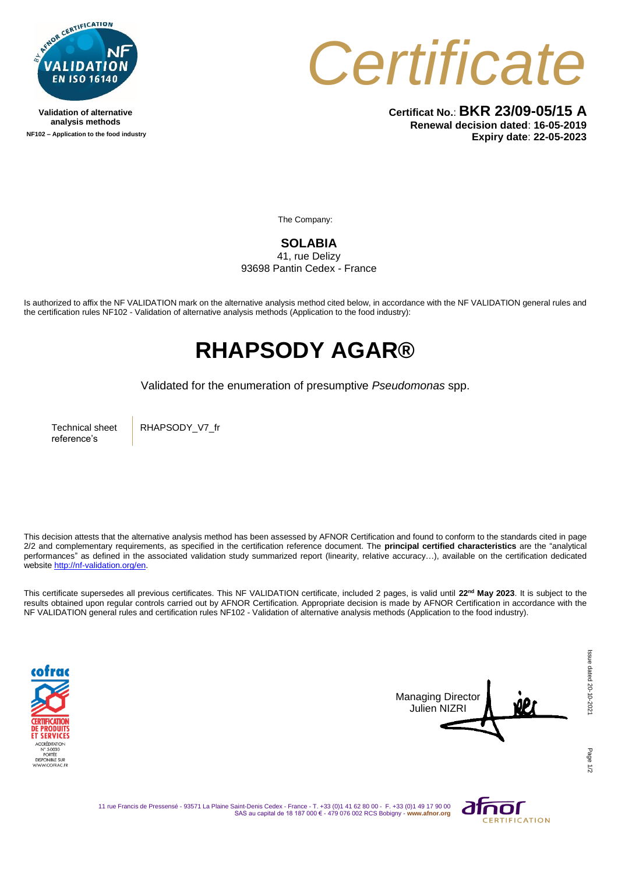

**Validation of alternative analysis methods NF102 – Application to the food industry** *Certificate*

**Certificat No.**: **BKR 23/09-05/15 A Renewal decision dated**: **16-05-2019 Expiry date**: **22-05-2023**

The Company:

**SOLABIA** 

41, rue Delizy 93698 Pantin Cedex - France

Is authorized to affix the NF VALIDATION mark on the alternative analysis method cited below, in accordance with the NF VALIDATION general rules and the certification rules NF102 - Validation of alternative analysis methods (Application to the food industry):

## **RHAPSODY AGAR®**

Validated for the enumeration of presumptive *Pseudomonas* spp.

Technical sheet reference's

RHAPSODY\_V7\_fr

This decision attests that the alternative analysis method has been assessed by AFNOR Certification and found to conform to the standards cited in page 2/2 and complementary requirements, as specified in the certification reference document. The **principal certified characteristics** are the "analytical performances" as defined in the associated validation study summarized report (linearity, relative accuracy…), available on the certification dedicated websit[e http://nf-validation.org/en.](http://nf-validation.org/en)

This certificate supersedes all previous certificates. This NF VALIDATION certificate, included 2 pages, is valid until **22nd May 2023**. It is subject to the results obtained upon regular controls carried out by AFNOR Certification. Appropriate decision is made by AFNOR Certification in accordance with the NF VALIDATION general rules and certification rules NF102 - Validation of alternative analysis methods (Application to the food industry).





11 rue Francis de Pressensé - 93571 La Plaine Saint-Denis Cedex - France - T. +33 (0)1 41 62 80 00 - F. +33 (0)1 49 17 90 00 SAS au capital de 18 187 000 € - 479 076 002 RCS Bobigny - **www.afnor.org**